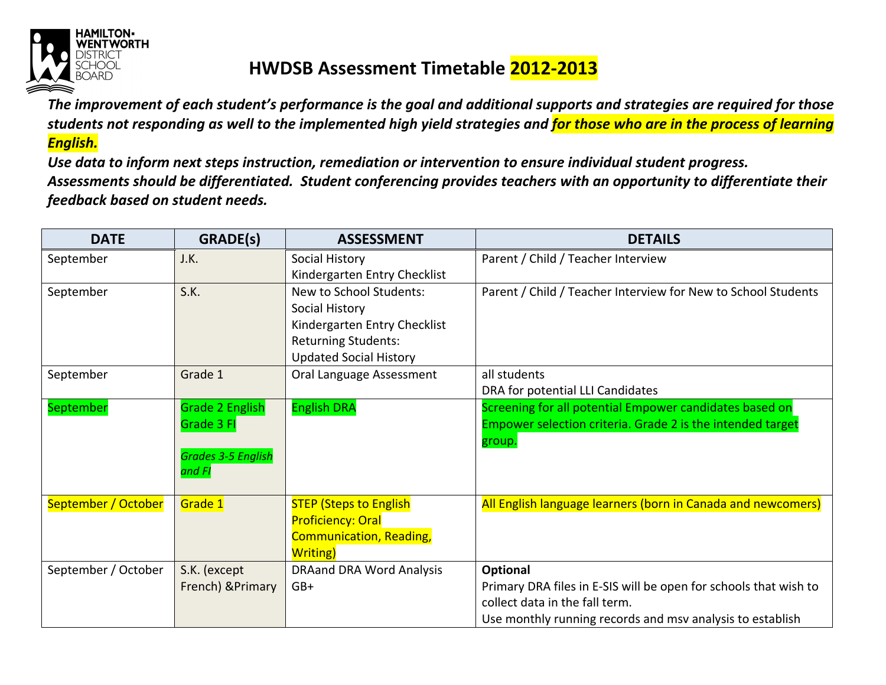

## **HWDSB Assessment Timetable 2012-2013**

*The improvement of each student's performance is the goal and additional supports and strategies are required for those students not responding as well to the implemented high yield strategies and for those who are in the process of learning English.* 

*Use data to inform next steps instruction, remediation or intervention to ensure individual student progress. Assessments should be differentiated. Student conferencing provides teachers with an opportunity to differentiate their feedback based on student needs.* 

| <b>DATE</b>         | <b>GRADE(s)</b>           | <b>ASSESSMENT</b>               | <b>DETAILS</b>                                                   |
|---------------------|---------------------------|---------------------------------|------------------------------------------------------------------|
| September           | J.K.                      | Social History                  | Parent / Child / Teacher Interview                               |
|                     |                           | Kindergarten Entry Checklist    |                                                                  |
| September           | S.K.                      | New to School Students:         | Parent / Child / Teacher Interview for New to School Students    |
|                     |                           | Social History                  |                                                                  |
|                     |                           | Kindergarten Entry Checklist    |                                                                  |
|                     |                           | <b>Returning Students:</b>      |                                                                  |
|                     |                           | <b>Updated Social History</b>   |                                                                  |
| September           | Grade 1                   | Oral Language Assessment        | all students                                                     |
|                     |                           |                                 | DRA for potential LLI Candidates                                 |
| September           | <b>Grade 2 English</b>    | <b>English DRA</b>              | Screening for all potential Empower candidates based on          |
|                     | Grade 3 FI                |                                 | Empower selection criteria. Grade 2 is the intended target       |
|                     |                           |                                 | group.                                                           |
|                     | <b>Grades 3-5 English</b> |                                 |                                                                  |
|                     | and FI                    |                                 |                                                                  |
|                     |                           |                                 |                                                                  |
| September / October | Grade 1                   | <b>STEP (Steps to English</b>   | All English language learners (born in Canada and newcomers)     |
|                     |                           | <b>Proficiency: Oral</b>        |                                                                  |
|                     |                           | <b>Communication, Reading,</b>  |                                                                  |
|                     |                           | <b>Writing</b> )                |                                                                  |
| September / October | S.K. (except              | <b>DRAand DRA Word Analysis</b> | Optional                                                         |
|                     | French) & Primary         | $GB+$                           | Primary DRA files in E-SIS will be open for schools that wish to |
|                     |                           |                                 | collect data in the fall term.                                   |
|                     |                           |                                 | Use monthly running records and msv analysis to establish        |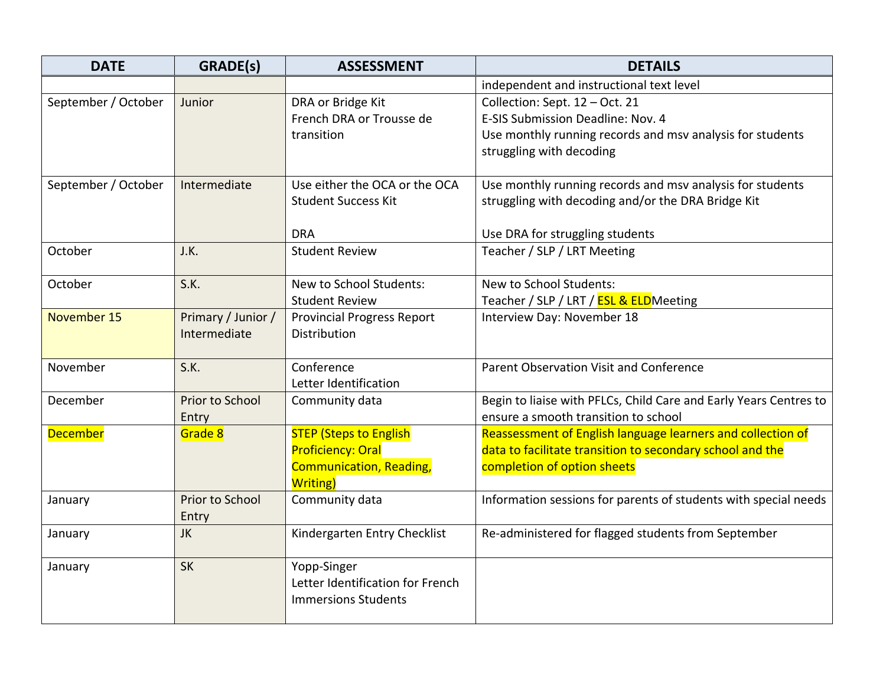| <b>DATE</b>         | GRADE(s)                           | <b>ASSESSMENT</b>                                                             | <b>DETAILS</b>                                                                                            |
|---------------------|------------------------------------|-------------------------------------------------------------------------------|-----------------------------------------------------------------------------------------------------------|
|                     |                                    |                                                                               | independent and instructional text level                                                                  |
| September / October | Junior                             | DRA or Bridge Kit<br>French DRA or Trousse de                                 | Collection: Sept. 12 - Oct. 21<br>E-SIS Submission Deadline: Nov. 4                                       |
|                     |                                    | transition                                                                    | Use monthly running records and msv analysis for students                                                 |
|                     |                                    |                                                                               | struggling with decoding                                                                                  |
| September / October | Intermediate                       | Use either the OCA or the OCA                                                 | Use monthly running records and msv analysis for students                                                 |
|                     |                                    | <b>Student Success Kit</b>                                                    | struggling with decoding and/or the DRA Bridge Kit                                                        |
|                     |                                    | <b>DRA</b>                                                                    | Use DRA for struggling students                                                                           |
| October             | J.K.                               | <b>Student Review</b>                                                         | Teacher / SLP / LRT Meeting                                                                               |
| October             | S.K.                               | New to School Students:                                                       | New to School Students:                                                                                   |
|                     |                                    | <b>Student Review</b>                                                         | Teacher / SLP / LRT / ESL & ELDMeeting                                                                    |
| November 15         | Primary / Junior /<br>Intermediate | <b>Provincial Progress Report</b><br>Distribution                             | Interview Day: November 18                                                                                |
| November            | S.K.                               | Conference<br>Letter Identification                                           | Parent Observation Visit and Conference                                                                   |
| December            | Prior to School<br>Entry           | Community data                                                                | Begin to liaise with PFLCs, Child Care and Early Years Centres to<br>ensure a smooth transition to school |
| <b>December</b>     | Grade 8                            | <b>STEP (Steps to English</b>                                                 | Reassessment of English language learners and collection of                                               |
|                     |                                    | <b>Proficiency: Oral</b>                                                      | data to facilitate transition to secondary school and the                                                 |
|                     |                                    | <b>Communication, Reading,</b><br><b>Writing</b> )                            | completion of option sheets                                                                               |
| January             | Prior to School<br>Entry           | Community data                                                                | Information sessions for parents of students with special needs                                           |
| January             | JK                                 | Kindergarten Entry Checklist                                                  | Re-administered for flagged students from September                                                       |
| January             | <b>SK</b>                          | Yopp-Singer<br>Letter Identification for French<br><b>Immersions Students</b> |                                                                                                           |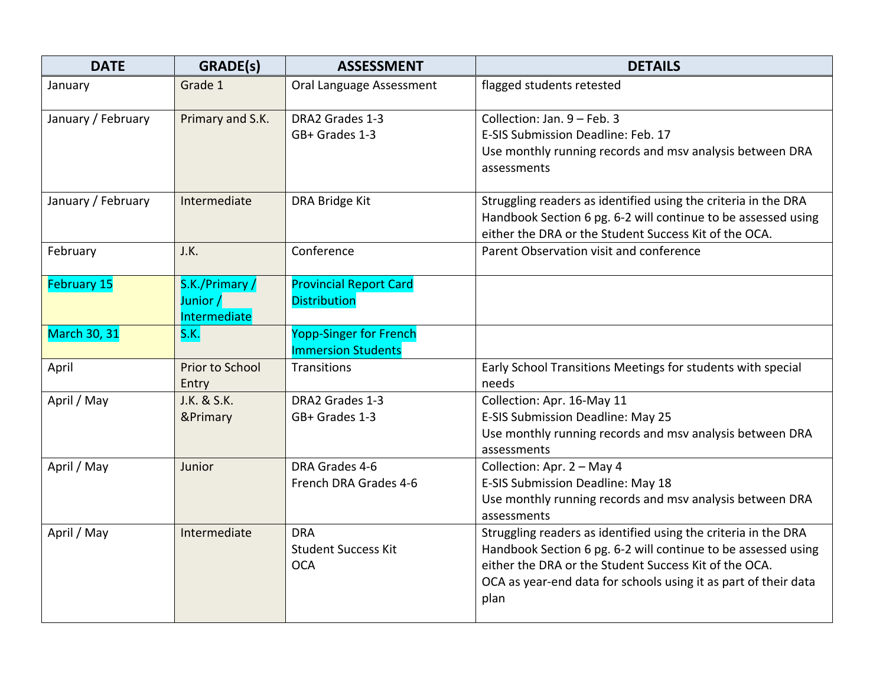| <b>DATE</b>         | <b>GRADE(s)</b>                           | <b>ASSESSMENT</b>                                          | <b>DETAILS</b>                                                                                                                                                                                                                                                      |
|---------------------|-------------------------------------------|------------------------------------------------------------|---------------------------------------------------------------------------------------------------------------------------------------------------------------------------------------------------------------------------------------------------------------------|
| January             | Grade 1                                   | Oral Language Assessment                                   | flagged students retested                                                                                                                                                                                                                                           |
| January / February  | Primary and S.K.                          | DRA2 Grades 1-3<br>GB+ Grades 1-3                          | Collection: Jan. 9 - Feb. 3<br>E-SIS Submission Deadline: Feb. 17<br>Use monthly running records and msv analysis between DRA<br>assessments                                                                                                                        |
| January / February  | Intermediate                              | DRA Bridge Kit                                             | Struggling readers as identified using the criteria in the DRA<br>Handbook Section 6 pg. 6-2 will continue to be assessed using<br>either the DRA or the Student Success Kit of the OCA.                                                                            |
| February            | J.K.                                      | Conference                                                 | Parent Observation visit and conference                                                                                                                                                                                                                             |
| <b>February 15</b>  | S.K./Primary/<br>Junior /<br>Intermediate | <b>Provincial Report Card</b><br><b>Distribution</b>       |                                                                                                                                                                                                                                                                     |
| <b>March 30, 31</b> | S.K.                                      | <b>Yopp-Singer for French</b><br><b>Immersion Students</b> |                                                                                                                                                                                                                                                                     |
| April               | Prior to School<br>Entry                  | Transitions                                                | Early School Transitions Meetings for students with special<br>needs                                                                                                                                                                                                |
| April / May         | J.K. & S.K.<br>&Primary                   | DRA2 Grades 1-3<br>GB+ Grades 1-3                          | Collection: Apr. 16-May 11<br>E-SIS Submission Deadline: May 25<br>Use monthly running records and msv analysis between DRA<br>assessments                                                                                                                          |
| April / May         | Junior                                    | DRA Grades 4-6<br>French DRA Grades 4-6                    | Collection: Apr. 2 - May 4<br>E-SIS Submission Deadline: May 18<br>Use monthly running records and msv analysis between DRA<br>assessments                                                                                                                          |
| April / May         | Intermediate                              | <b>DRA</b><br><b>Student Success Kit</b><br><b>OCA</b>     | Struggling readers as identified using the criteria in the DRA<br>Handbook Section 6 pg. 6-2 will continue to be assessed using<br>either the DRA or the Student Success Kit of the OCA.<br>OCA as year-end data for schools using it as part of their data<br>plan |